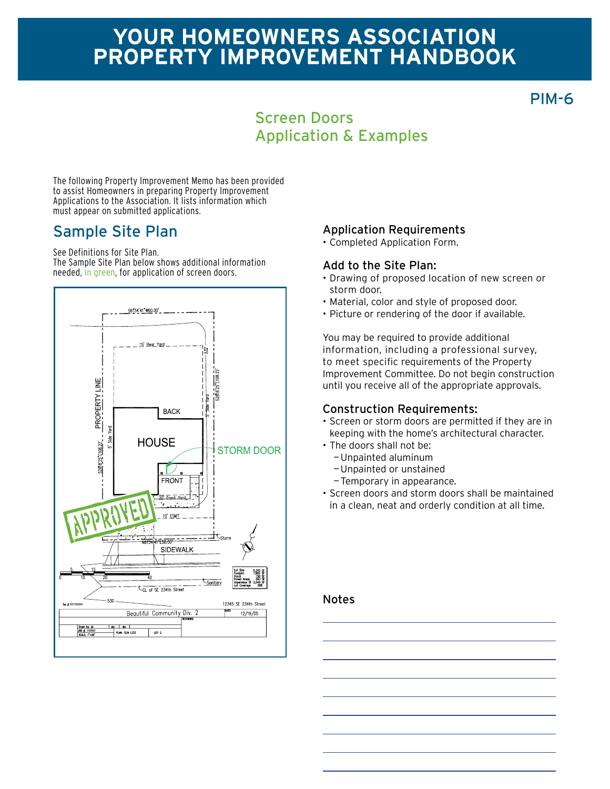# **Your homeowners association Property improvement Handbook**

PIM-6

## Screen Doors Application & Examples

The following Property Improvement Memo has been provided to assist Homeowners in preparing Property Improvement Applications to the Association. It lists information which must appear on submitted applications.

## Sample Site Plan

See Definitions for Site Plan.

The Sample Site Plan below shows additional information needed, in green, for application of screen doors.



### Application Requirements

• Completed Application Form.

#### Add to the Site Plan:

- • Drawing of proposed location of new screen or storm door.
- • Material, color and style of proposed door.
- Picture or rendering of the door if available.

You may be required to provide additional information, including a professional survey, to meet specific requirements of the Property Improvement Committee. Do not begin construction until you receive all of the appropriate approvals.

### Construction Requirements:

- • Screen or storm doors are permitted if they are in keeping with the home's architectural character.
- The doors shall not be:
	- —Unpainted aluminum
	- —Unpainted or unstained
	- —Temporary in appearance.
- • Screen doors and storm doors shall be maintained in a clean, neat and orderly condition at all time.

#### Notes